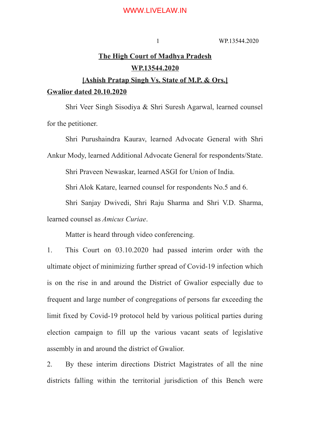### WWW.LIVELAW.IN

### 1 WP.13544.2020

# **The High Court of Madhya Pradesh WP.13544.2020**

# **[Ashish Pratap Singh Vs. State of M.P. & Ors.]**

### **Gwalior dated 20.10.2020**

Shri Veer Singh Sisodiya & Shri Suresh Agarwal, learned counsel for the petitioner.

Shri Purushaindra Kaurav, learned Advocate General with Shri

Ankur Mody, learned Additional Advocate General for respondents/State.

Shri Praveen Newaskar, learned ASGI for Union of India.

Shri Alok Katare, learned counsel for respondents No.5 and 6.

Shri Sanjay Dwivedi, Shri Raju Sharma and Shri V.D. Sharma,

learned counsel as *Amicus Curiae*.

Matter is heard through video conferencing.

1. This Court on 03.10.2020 had passed interim order with the ultimate object of minimizing further spread of Covid-19 infection which is on the rise in and around the District of Gwalior especially due to frequent and large number of congregations of persons far exceeding the limit fixed by Covid-19 protocol held by various political parties during election campaign to fill up the various vacant seats of legislative assembly in and around the district of Gwalior.

2. By these interim directions District Magistrates of all the nine districts falling within the territorial jurisdiction of this Bench were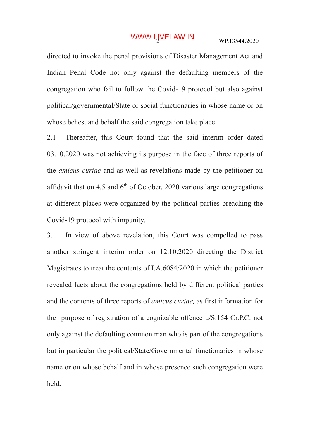## WWW.LIVELAW.IN WP.13544.2020

directed to invoke the penal provisions of Disaster Management Act and Indian Penal Code not only against the defaulting members of the congregation who fail to follow the Covid-19 protocol but also against political/governmental/State or social functionaries in whose name or on whose behest and behalf the said congregation take place.

2.1 Thereafter, this Court found that the said interim order dated 03.10.2020 was not achieving its purpose in the face of three reports of the *amicus curiae* and as well as revelations made by the petitioner on affidavit that on 4,5 and  $6<sup>th</sup>$  of October, 2020 various large congregations at different places were organized by the political parties breaching the Covid-19 protocol with impunity.

3. In view of above revelation, this Court was compelled to pass another stringent interim order on 12.10.2020 directing the District Magistrates to treat the contents of I.A.6084/2020 in which the petitioner revealed facts about the congregations held by different political parties and the contents of three reports of *amicus curiae,* as first information for the purpose of registration of a cognizable offence u/S.154 Cr.P.C. not only against the defaulting common man who is part of the congregations but in particular the political/State/Governmental functionaries in whose name or on whose behalf and in whose presence such congregation were held.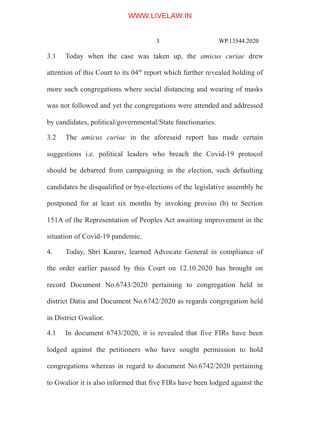3.1 Today when the case was taken up, the *amicus curiae* drew attention of this Court to its  $04<sup>th</sup>$  report which further revealed holding of more such congregations where social distancing and wearing of masks was not followed and yet the congregations were attended and addressed by candidates, political/governmental/State functionaries.

3.2 The *amicus curiae* in the aforesaid report has made certain suggestions i.e. political leaders who breach the Covid-19 protocol should be debarred from campaigning in the election, such defaulting candidates be disqualified or bye-elections of the legislative assembly be postponed for at least six months by invoking proviso (b) to Section 151A of the Representation of Peoples Act awaiting improvement in the situation of Covid-19 pandemic.

4. Today, Shri Kaurav, learned Advocate General in compliance of the order earlier passed by this Court on 12.10.2020 has brought on record Document No.6743/2020 pertaining to congregation held in district Datia and Document No.6742/2020 as regards congregation held in District Gwalior.

4.1 In document 6743/2020, it is revealed that five FIRs have been lodged against the petitioners who have sought permission to hold congregations whereas in regard to document No.6742/2020 pertaining to Gwalior it is also informed that five FIRs have been lodged against the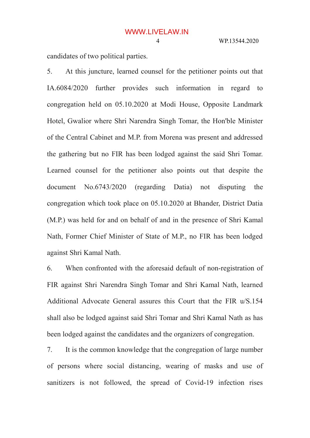candidates of two political parties.

5. At this juncture, learned counsel for the petitioner points out that IA.6084/2020 further provides such information in regard to congregation held on 05.10.2020 at Modi House, Opposite Landmark Hotel, Gwalior where Shri Narendra Singh Tomar, the Hon'ble Minister of the Central Cabinet and M.P. from Morena was present and addressed the gathering but no FIR has been lodged against the said Shri Tomar. Learned counsel for the petitioner also points out that despite the document No.6743/2020 (regarding Datia) not disputing the congregation which took place on 05.10.2020 at Bhander, District Datia (M.P.) was held for and on behalf of and in the presence of Shri Kamal Nath, Former Chief Minister of State of M.P., no FIR has been lodged against Shri Kamal Nath.

6. When confronted with the aforesaid default of non-registration of FIR against Shri Narendra Singh Tomar and Shri Kamal Nath, learned Additional Advocate General assures this Court that the FIR u/S.154 shall also be lodged against said Shri Tomar and Shri Kamal Nath as has been lodged against the candidates and the organizers of congregation.

7. It is the common knowledge that the congregation of large number of persons where social distancing, wearing of masks and use of sanitizers is not followed, the spread of Covid-19 infection rises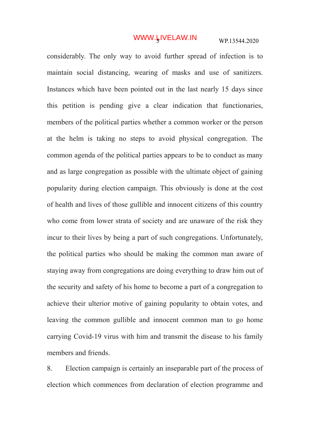## WWW.LIVELAW.IN WP.13544.2020

considerably. The only way to avoid further spread of infection is to maintain social distancing, wearing of masks and use of sanitizers. Instances which have been pointed out in the last nearly 15 days since this petition is pending give a clear indication that functionaries, members of the political parties whether a common worker or the person at the helm is taking no steps to avoid physical congregation. The common agenda of the political parties appears to be to conduct as many and as large congregation as possible with the ultimate object of gaining popularity during election campaign. This obviously is done at the cost of health and lives of those gullible and innocent citizens of this country who come from lower strata of society and are unaware of the risk they incur to their lives by being a part of such congregations. Unfortunately, the political parties who should be making the common man aware of staying away from congregations are doing everything to draw him out of the security and safety of his home to become a part of a congregation to achieve their ulterior motive of gaining popularity to obtain votes, and leaving the common gullible and innocent common man to go home carrying Covid-19 virus with him and transmit the disease to his family members and friends.

8. Election campaign is certainly an inseparable part of the process of election which commences from declaration of election programme and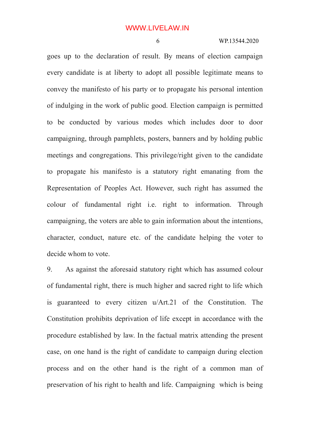goes up to the declaration of result. By means of election campaign every candidate is at liberty to adopt all possible legitimate means to convey the manifesto of his party or to propagate his personal intention of indulging in the work of public good. Election campaign is permitted to be conducted by various modes which includes door to door campaigning, through pamphlets, posters, banners and by holding public meetings and congregations. This privilege/right given to the candidate to propagate his manifesto is a statutory right emanating from the Representation of Peoples Act. However, such right has assumed the colour of fundamental right i.e. right to information. Through campaigning, the voters are able to gain information about the intentions, character, conduct, nature etc. of the candidate helping the voter to decide whom to vote.

9. As against the aforesaid statutory right which has assumed colour of fundamental right, there is much higher and sacred right to life which is guaranteed to every citizen u/Art.21 of the Constitution. The Constitution prohibits deprivation of life except in accordance with the procedure established by law. In the factual matrix attending the present case, on one hand is the right of candidate to campaign during election process and on the other hand is the right of a common man of preservation of his right to health and life. Campaigning which is being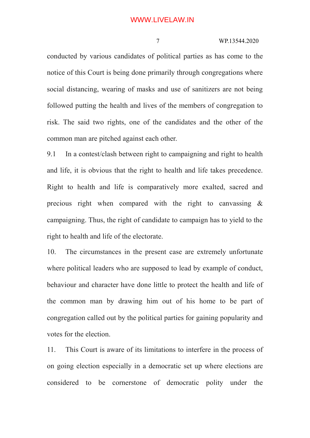### WWW.LIVELAW.IN

### 7 WP.13544.2020

conducted by various candidates of political parties as has come to the notice of this Court is being done primarily through congregations where social distancing, wearing of masks and use of sanitizers are not being followed putting the health and lives of the members of congregation to risk. The said two rights, one of the candidates and the other of the common man are pitched against each other.

9.1 In a contest/clash between right to campaigning and right to health and life, it is obvious that the right to health and life takes precedence. Right to health and life is comparatively more exalted, sacred and precious right when compared with the right to canvassing & campaigning. Thus, the right of candidate to campaign has to yield to the right to health and life of the electorate.

10. The circumstances in the present case are extremely unfortunate where political leaders who are supposed to lead by example of conduct, behaviour and character have done little to protect the health and life of the common man by drawing him out of his home to be part of congregation called out by the political parties for gaining popularity and votes for the election.

11. This Court is aware of its limitations to interfere in the process of on going election especially in a democratic set up where elections are considered to be cornerstone of democratic polity under the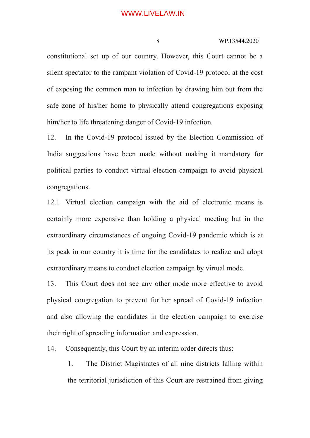constitutional set up of our country. However, this Court cannot be a silent spectator to the rampant violation of Covid-19 protocol at the cost of exposing the common man to infection by drawing him out from the safe zone of his/her home to physically attend congregations exposing him/her to life threatening danger of Covid-19 infection.

12. In the Covid-19 protocol issued by the Election Commission of India suggestions have been made without making it mandatory for political parties to conduct virtual election campaign to avoid physical congregations.

12.1 Virtual election campaign with the aid of electronic means is certainly more expensive than holding a physical meeting but in the extraordinary circumstances of ongoing Covid-19 pandemic which is at its peak in our country it is time for the candidates to realize and adopt extraordinary means to conduct election campaign by virtual mode.

13. This Court does not see any other mode more effective to avoid physical congregation to prevent further spread of Covid-19 infection and also allowing the candidates in the election campaign to exercise their right of spreading information and expression.

14. Consequently, this Court by an interim order directs thus:

1. The District Magistrates of all nine districts falling within the territorial jurisdiction of this Court are restrained from giving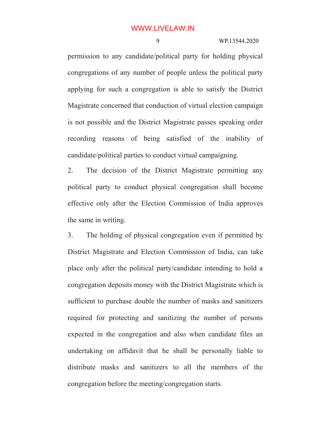permission to any candidate/political party for holding physical congregations of any number of people unless the political party applying for such a congregation is able to satisfy the District Magistrate concerned that conduction of virtual election campaign is not possible and the District Magistrate passes speaking order recording reasons of being satisfied of the inability of candidate/political parties to conduct virtual campaigning.

2. The decision of the District Magistrate permitting any political party to conduct physical congregation shall become effective only after the Election Commission of India approves the same in writing.

3. The holding of physical congregation even if permitted by District Magistrate and Election Commission of India, can take place only after the political party/candidate intending to hold a congregation deposits money with the District Magistrate which is sufficient to purchase double the number of masks and sanitizers required for protecting and sanitizing the number of persons expected in the congregation and also when candidate files an undertaking on affidavit that he shall be personally liable to distribute masks and sanitizers to all the members of the congregation before the meeting/congregation starts.